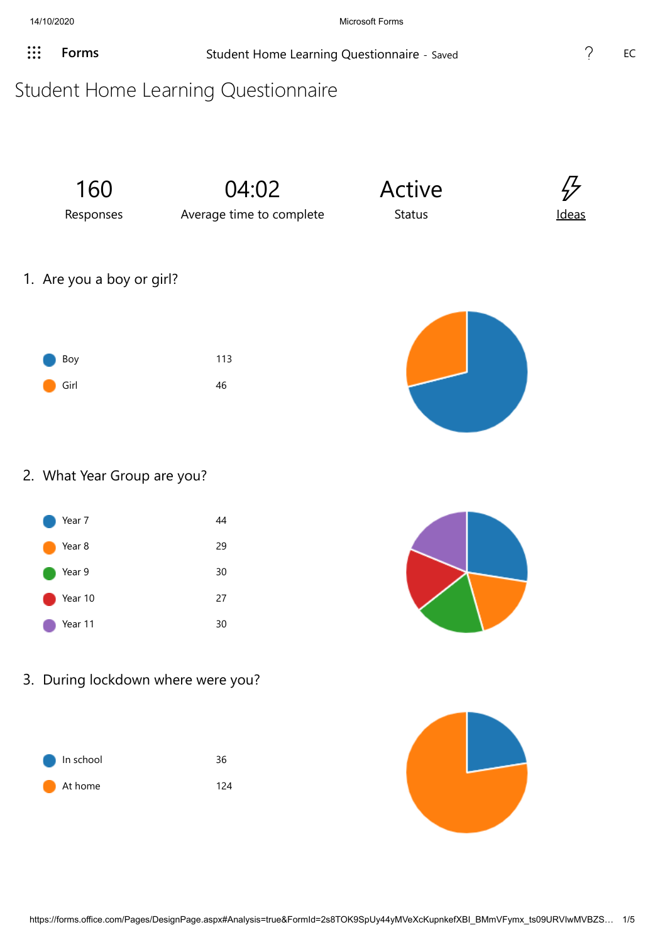**[Forms](javascript: FormsOnHeaderAppNameClick())** Student Home Learning Questionnaire - Saved **1997 2008** EC

## Student Home Learning Questionnaire

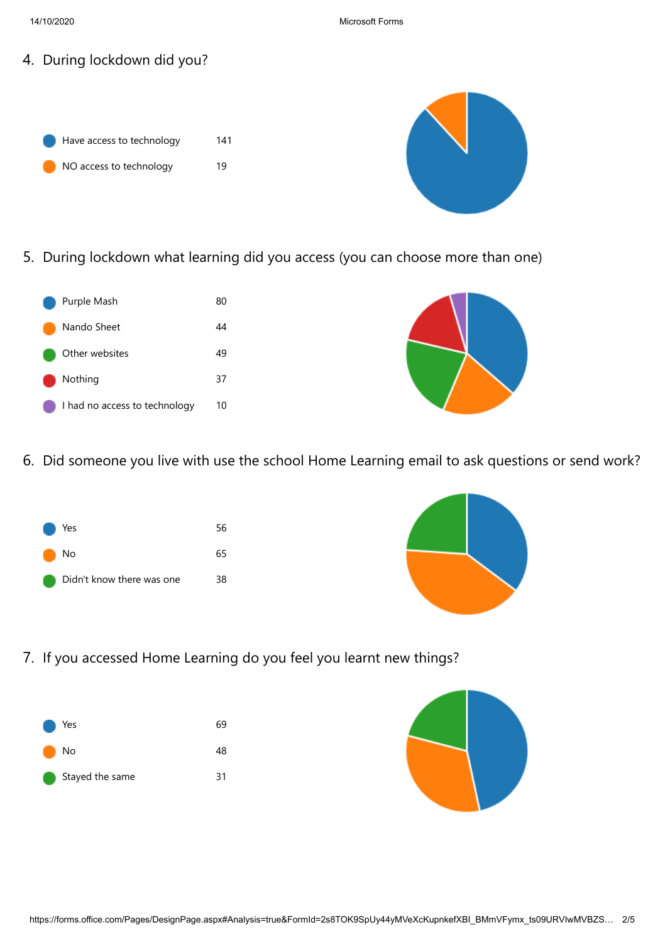- 4. During lockdown did you?
	- Have access to technology 141 NO access to technology 19



5. During lockdown what learning did you access (you can choose more than one)





6. Did someone you live with use the school Home Learning email to ask questions or send work?





7. If you accessed Home Learning do you feel you learnt new things?



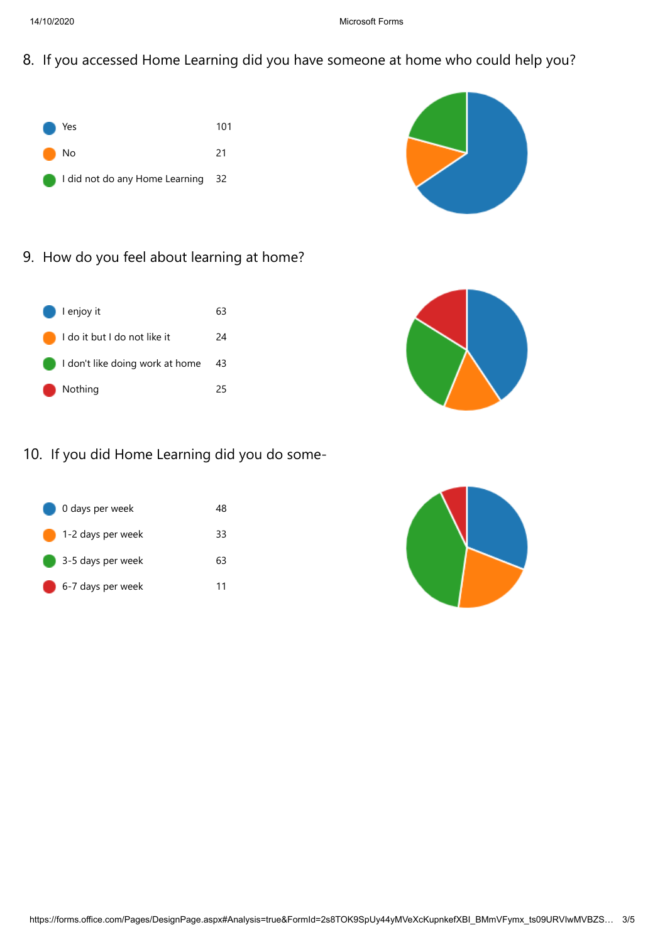8. If you accessed Home Learning did you have someone at home who could help you?





9. How do you feel about learning at home?





## 10. If you did Home Learning did you do some-



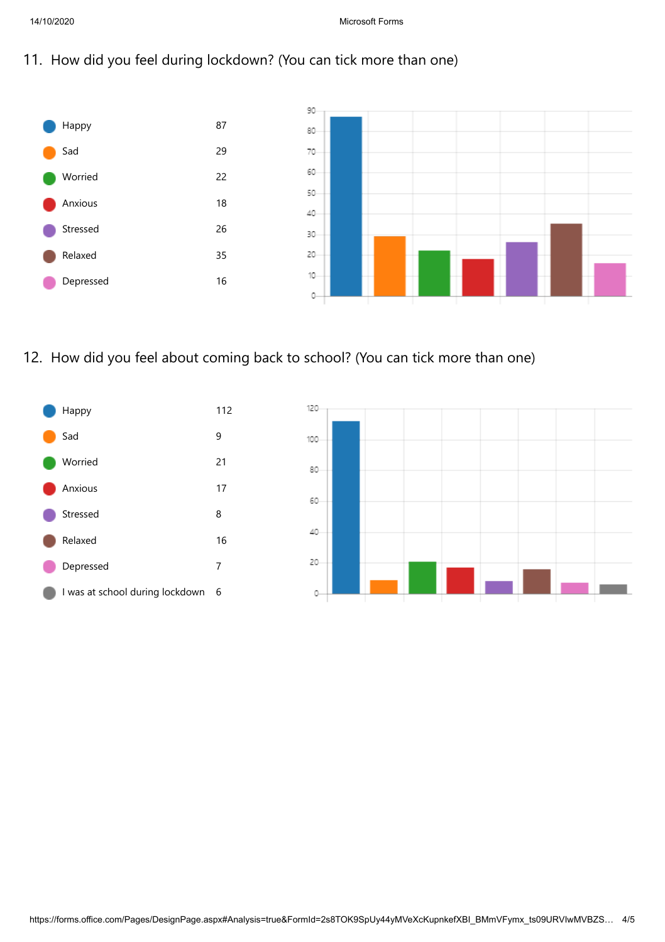11. How did you feel during lockdown? (You can tick more than one)



12. How did you feel about coming back to school? (You can tick more than one)